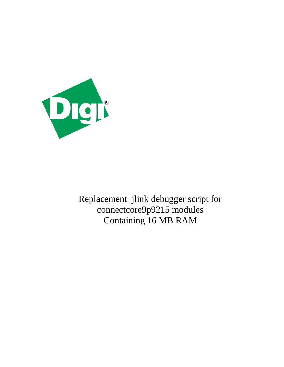

Replacement jlink debugger script for connectcore9p9215 modules Containing 16 MB RAM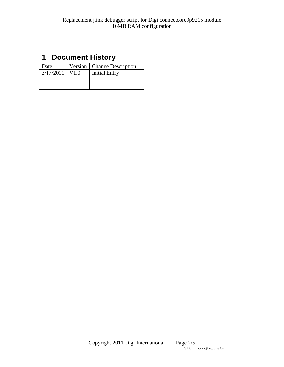### <span id="page-1-0"></span>**1 Document History**

| Date      |                   | Version   Change Description |  |
|-----------|-------------------|------------------------------|--|
| 3/17/2011 | $\overline{V}1.0$ | <b>Initial Entry</b>         |  |
|           |                   |                              |  |
|           |                   |                              |  |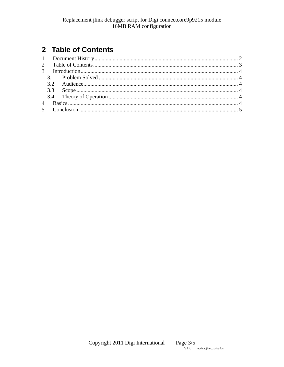## <span id="page-2-0"></span>2 Table of Contents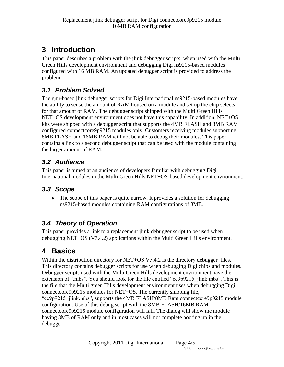## <span id="page-3-0"></span>**3 Introduction**

This paper describes a problem with the jlink debugger scripts, when used with the Multi Green Hills development environment and debugging Digi ns9215-based modules configured with 16 MB RAM. An updated debugger script is provided to address the problem.

#### <span id="page-3-1"></span>*3.1 Problem Solved*

The gnu-based jlink debugger scripts for Digi International ns9215-based modules have the ability to sense the amount of RAM housed on a module and set up the chip selects for that amount of RAM. The debugger script shipped with the Multi Green Hills NET+OS development environment does not have this capability. In addition, NET+OS kits were shipped with a debugger script that supports the 4MB FLASH and 8MB RAM configured connectcore9p9215 modules only. Customers receiving modules supporting 8MB FLASH and 16MB RAM will not be able to debug their modules. This paper contains a link to a second debugger script that can be used with the module containing the larger amount of RAM.

### <span id="page-3-2"></span>*3.2 Audience*

This paper is aimed at an audience of developers familiar with debugging Digi International modules in the Multi Green Hills NET+OS-based development environment.

#### <span id="page-3-3"></span>*3.3 Scope*

• The scope of this paper is quite narrow. It provides a solution for debugging ns9215-based modules containing RAM configurations of 8MB.

### <span id="page-3-4"></span>*3.4 Theory of Operation*

This paper provides a link to a replacement jlink debugger script to be used when debugging NET+OS (V7.4.2) applications within the Multi Green Hills environment.

# <span id="page-3-5"></span>**4 Basics**

Within the distribution directory for NET+OS V7.4.2 is the directory debugger files. This directory contains debugger scripts for use when debugging Digi chips and modules. Debugger scripts used with the Multi Green Hills development environment have the extension of ".mbs". You should look for the file entitled "cc9p9215 jlink.mbs". This is the file that the Multi green Hills development environment uses when debugging Digi connectcore9p9215 modules for NET+OS. The currently shipping file, "cc9p9215 jlink.mbs", supports the 4MB FLASH/8MB Ram connectcore9p9215 module configuration. Use of this debug script with the 8MB FLASH/16MB RAM connectcore9p9215 module configuration will fail. The dialog will show the module having 8MB of RAM only and in most cases will not complete booting up in the debugger.